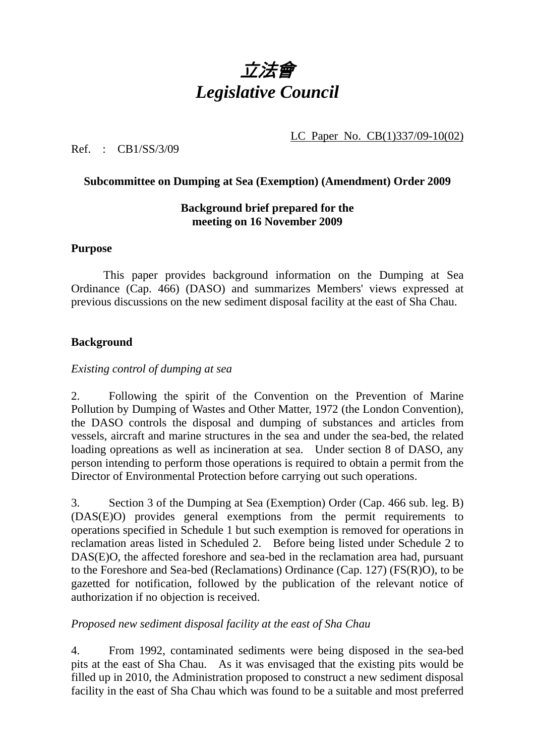

LC Paper No. CB(1)337/09-10(02)

Ref. : CB1/SS/3/09

### **Subcommittee on Dumping at Sea (Exemption) (Amendment) Order 2009**

## **Background brief prepared for the meeting on 16 November 2009**

#### **Purpose**

 This paper provides background information on the Dumping at Sea Ordinance (Cap. 466) (DASO) and summarizes Members' views expressed at previous discussions on the new sediment disposal facility at the east of Sha Chau.

### **Background**

#### *Existing control of dumping at sea*

2. Following the spirit of the Convention on the Prevention of Marine Pollution by Dumping of Wastes and Other Matter, 1972 (the London Convention), the DASO controls the disposal and dumping of substances and articles from vessels, aircraft and marine structures in the sea and under the sea-bed, the related loading opreations as well as incineration at sea. Under section 8 of DASO, any person intending to perform those operations is required to obtain a permit from the Director of Environmental Protection before carrying out such operations.

3. Section 3 of the Dumping at Sea (Exemption) Order (Cap. 466 sub. leg. B) (DAS(E)O) provides general exemptions from the permit requirements to operations specified in Schedule 1 but such exemption is removed for operations in reclamation areas listed in Scheduled 2. Before being listed under Schedule 2 to DAS(E)O, the affected foreshore and sea-bed in the reclamation area had, pursuant to the Foreshore and Sea-bed (Reclamations) Ordinance (Cap. 127) (FS(R)O), to be gazetted for notification, followed by the publication of the relevant notice of authorization if no objection is received.

### *Proposed new sediment disposal facility at the east of Sha Chau*

4. From 1992, contaminated sediments were being disposed in the sea-bed pits at the east of Sha Chau. As it was envisaged that the existing pits would be filled up in 2010, the Administration proposed to construct a new sediment disposal facility in the east of Sha Chau which was found to be a suitable and most preferred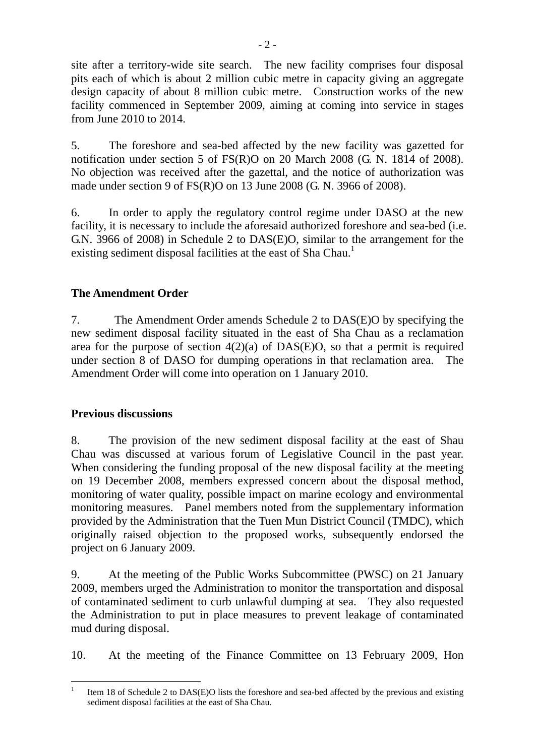site after a territory-wide site search. The new facility comprises four disposal pits each of which is about 2 million cubic metre in capacity giving an aggregate design capacity of about 8 million cubic metre. Construction works of the new facility commenced in September 2009, aiming at coming into service in stages from June 2010 to 2014.

5. The foreshore and sea-bed affected by the new facility was gazetted for notification under section 5 of FS(R)O on 20 March 2008 (G. N. 1814 of 2008). No objection was received after the gazettal, and the notice of authorization was made under section 9 of FS(R)O on 13 June 2008 (G. N. 3966 of 2008).

6. In order to apply the regulatory control regime under DASO at the new facility, it is necessary to include the aforesaid authorized foreshore and sea-bed (i.e. G.N. 3966 of 2008) in Schedule 2 to DAS(E)O, similar to the arrangement for the existing sediment disposal facilities at the east of Sha Chau.<sup>1</sup>

# **The Amendment Order**

7. The Amendment Order amends Schedule 2 to DAS(E)O by specifying the new sediment disposal facility situated in the east of Sha Chau as a reclamation area for the purpose of section  $4(2)(a)$  of DAS(E)O, so that a permit is required under section 8 of DASO for dumping operations in that reclamation area. The Amendment Order will come into operation on 1 January 2010.

## **Previous discussions**

8. The provision of the new sediment disposal facility at the east of Shau Chau was discussed at various forum of Legislative Council in the past year. When considering the funding proposal of the new disposal facility at the meeting on 19 December 2008, members expressed concern about the disposal method, monitoring of water quality, possible impact on marine ecology and environmental monitoring measures. Panel members noted from the supplementary information provided by the Administration that the Tuen Mun District Council (TMDC), which originally raised objection to the proposed works, subsequently endorsed the project on 6 January 2009.

9. At the meeting of the Public Works Subcommittee (PWSC) on 21 January 2009, members urged the Administration to monitor the transportation and disposal of contaminated sediment to curb unlawful dumping at sea. They also requested the Administration to put in place measures to prevent leakage of contaminated mud during disposal.

10. At the meeting of the Finance Committee on 13 February 2009, Hon

 $\overline{a}$ 1 Item 18 of Schedule 2 to DAS(E)O lists the foreshore and sea-bed affected by the previous and existing sediment disposal facilities at the east of Sha Chau.